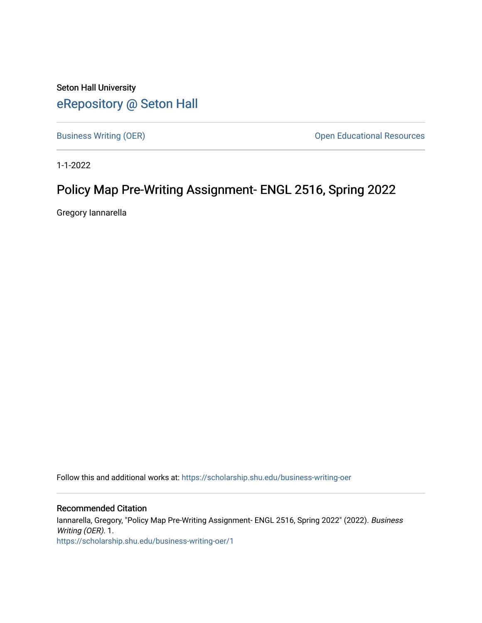Seton Hall University [eRepository @ Seton Hall](https://scholarship.shu.edu/)

[Business Writing \(OER\)](https://scholarship.shu.edu/business-writing-oer) **Open Educational Resources Open Educational Resources** 

1-1-2022

## Policy Map Pre-Writing Assignment- ENGL 2516, Spring 2022

Gregory Iannarella

Follow this and additional works at: [https://scholarship.shu.edu/business-writing-oer](https://scholarship.shu.edu/business-writing-oer?utm_source=scholarship.shu.edu%2Fbusiness-writing-oer%2F1&utm_medium=PDF&utm_campaign=PDFCoverPages) 

Recommended Citation Iannarella, Gregory, "Policy Map Pre-Writing Assignment- ENGL 2516, Spring 2022" (2022). Business Writing (OER). 1. [https://scholarship.shu.edu/business-writing-oer/1](https://scholarship.shu.edu/business-writing-oer/1?utm_source=scholarship.shu.edu%2Fbusiness-writing-oer%2F1&utm_medium=PDF&utm_campaign=PDFCoverPages)